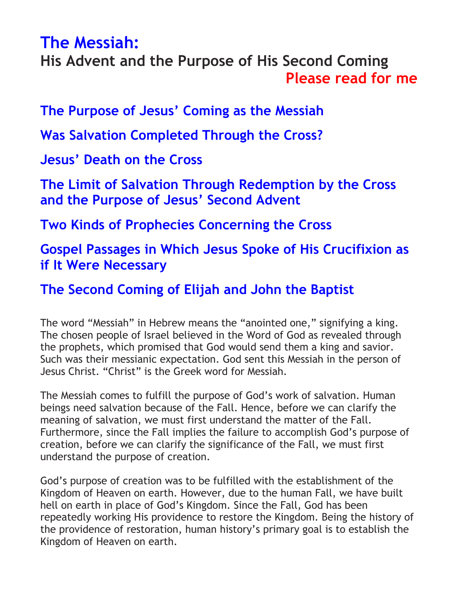# <span id="page-0-0"></span>**[The Messiah:](http://www.2achristisnow.com/resources.html)**

**His Advent and the Purpose of His Second Coming [Please read for me](https://www.2achristisnow.com/uploads/1/3/4/0/134087828/fr-jtb-01.mp3)**

**The [Purpose of Jesus' Coming as the Messiah](#page-1-0)**

**[Was Salvation Completed Through the Cross?](#page-1-1)**

**[Jesus' Death on the Cross](#page-2-0)**

**[The Limit of Salvation Through Redemption by the Cross](#page-6-0)  and the Purpo[se of Jesus' Second Advent](#page-6-0)**

**[Two Kinds of Prophecies Concerning the Cross](#page-7-0)**

**[Gospel Passages in Which Jesus Spoke of His Crucifixion as](#page-9-0)  [if It Were Necessary](#page-9-0)**

**[The Second Coming of Elijah and John the Baptist](#page-10-0)**

The word "Messiah" in Hebrew means the "anointed one," signifying a king. The chosen people of Israel believed in the Word of God as revealed through the prophets, which promised that God would send them a king and savior. Such was their messianic expectation. God sent this Messiah in the person of Jesus Christ. "Christ" is the Greek word for Messiah.

The Messiah comes to fulfill the purpose of God's work of salvation. Human beings need salvation because of the Fall. Hence, before we can clarify the meaning of salvation, we must first understand the matter of the Fall. Furthermore, since the Fall implies the failure to accomplish God's purpose of creation, before we can clarify the significance of the Fall, we must first understand the purpose of creation.

God's purpose of creation was to be fulfilled with the establishment of the Kingdom of Heaven on earth. However, due to the human Fall, we have built hell on earth in place of God's Kingdom. Since the Fall, God has been repeatedly working His providence to restore the Kingdom. Being the history of the providence of restoration, human history's primary goal is to establish the Kingdom of Heaven on earth.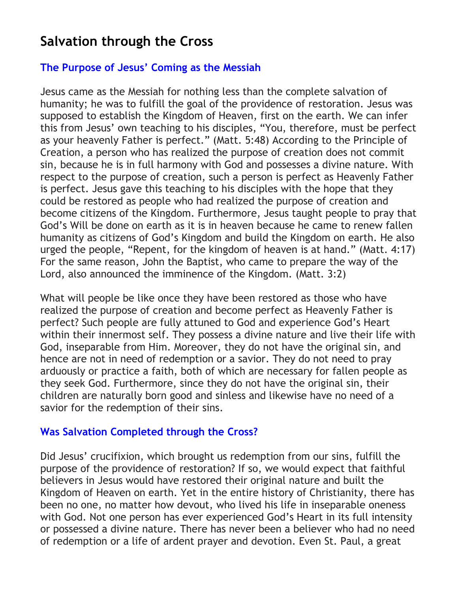## **Salvation through the Cross**

## <span id="page-1-0"></span>**[The Purpose of Jesus' Coming](#page-0-0) as the Messiah**

Jesus came as the Messiah for nothing less than the complete salvation of humanity; he was to fulfill the goal of the providence of restoration. Jesus was supposed to establish the Kingdom of Heaven, first on the earth. We can infer this from Jesus' own teaching to his disciples, "You, therefore, must be perfect as your heavenly Father is perfect." (Matt. 5:48) According to the Principle of Creation, a person who has realized the purpose of creation does not commit sin, because he is in full harmony with God and possesses a divine nature. With respect to the purpose of creation, such a person is perfect as Heavenly Father is perfect. Jesus gave this teaching to his disciples with the hope that they could be restored as people who had realized the purpose of creation and become citizens of the Kingdom. Furthermore, Jesus taught people to pray that God's Will be done on earth as it is in heaven because he came to renew fallen humanity as citizens of God's Kingdom and build the Kingdom on earth. He also urged the people, "Repent, for the kingdom of heaven is at hand." (Matt. 4:17) For the same reason, John the Baptist, who came to prepare the way of the Lord, also announced the imminence of the Kingdom. (Matt. 3:2)

What will people be like once they have been restored as those who have realized the purpose of creation and become perfect as Heavenly Father is perfect? Such people are fully attuned to God and experience God's Heart within their innermost self. They possess a divine nature and live their life with God, inseparable from Him. Moreover, they do not have the original sin, and hence are not in need of redemption or a savior. They do not need to pray arduously or practice a faith, both of which are necessary for fallen people as they seek God. Furthermore, since they do not have the original sin, their children are naturally born good and sinless and likewise have no need of a savior for the redemption of their sins.

## <span id="page-1-1"></span>**[Was Salvation Completed through the Cross?](#page-0-0)**

Did Jesus' crucifixion, which brought us redemption from our sins, fulfill the purpose of the providence of restoration? If so, we would expect that faithful believers in Jesus would have restored their original nature and built the Kingdom of Heaven on earth. Yet in the entire history of Christianity, there has been no one, no matter how devout, who lived his life in inseparable oneness with God. Not one person has ever experienced God's Heart in its full intensity or possessed a divine nature. There has never been a believer who had no need of redemption or a life of ardent prayer and devotion. Even St. Paul, a great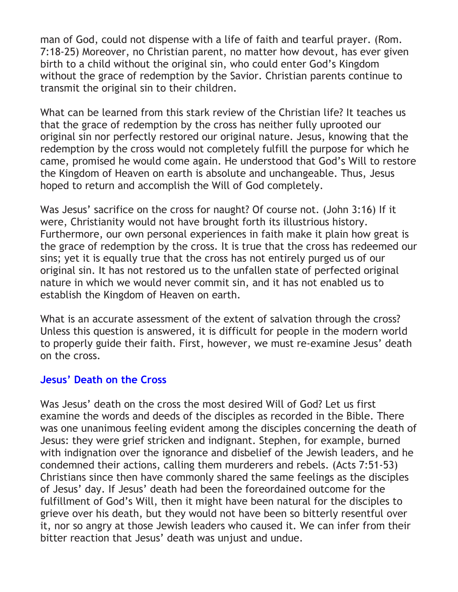man of God, could not dispense with a life of faith and tearful prayer. (Rom. 7:18-25) Moreover, no Christian parent, no matter how devout, has ever given birth to a child without the original sin, who could enter God's Kingdom without the grace of redemption by the Savior. Christian parents continue to transmit the original sin to their children.

What can be learned from this stark review of the Christian life? It teaches us that the grace of redemption by the cross has neither fully uprooted our original sin nor perfectly restored our original nature. Jesus, knowing that the redemption by the cross would not completely fulfill the purpose for which he came, promised he would come again. He understood that God's Will to restore the Kingdom of Heaven on earth is absolute and unchangeable. Thus, Jesus hoped to return and accomplish the Will of God completely.

Was Jesus' sacrifice on the cross for naught? Of course not. (John 3:16) If it were, Christianity would not have brought forth its illustrious history. Furthermore, our own personal experiences in faith make it plain how great is the grace of redemption by the cross. It is true that the cross has redeemed our sins; yet it is equally true that the cross has not entirely purged us of our original sin. It has not restored us to the unfallen state of perfected original nature in which we would never commit sin, and it has not enabled us to establish the Kingdom of Heaven on earth.

What is an accurate assessment of the extent of salvation through the cross? Unless this question is answered, it is difficult for people in the modern world to properly guide their faith. First, however, we must re-examine Jesus' death on the cross.

## <span id="page-2-0"></span>**[Jesus' Death on the Cross](#page-0-0)**

Was Jesus' death on the cross the most desired Will of God? Let us first examine the words and deeds of the disciples as recorded in the Bible. There was one unanimous feeling evident among the disciples concerning the death of Jesus: they were grief stricken and indignant. Stephen, for example, burned with indignation over the ignorance and disbelief of the Jewish leaders, and he condemned their actions, calling them murderers and rebels. (Acts 7:51-53) Christians since then have commonly shared the same feelings as the disciples of Jesus' day. If Jesus' death had been the foreordained outcome for the fulfillment of God's Will, then it might have been natural for the disciples to grieve over his death, but they would not have been so bitterly resentful over it, nor so angry at those Jewish leaders who caused it. We can infer from their bitter reaction that Jesus' death was unjust and undue.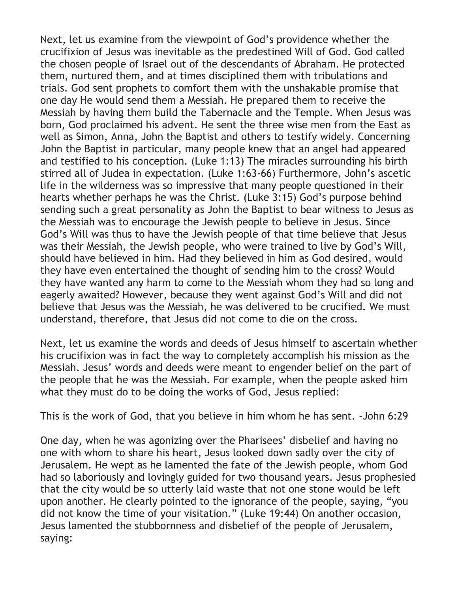Next, let us examine from the viewpoint of God's providence whether the crucifixion of Jesus was inevitable as the predestined Will of God. God called the chosen people of Israel out of the descendants of Abraham. He protected them, nurtured them, and at times disciplined them with tribulations and trials. God sent prophets to comfort them with the unshakable promise that one day He would send them a Messiah. He prepared them to receive the Messiah by having them build the Tabernacle and the Temple. When Jesus was born, God proclaimed his advent. He sent the three wise men from the East as well as Simon, Anna, John the Baptist and others to testify widely. Concerning John the Baptist in particular, many people knew that an angel had appeared and testified to his conception. (Luke 1:13) The miracles surrounding his birth stirred all of Judea in expectation. (Luke 1:63-66) Furthermore, John's ascetic life in the wilderness was so impressive that many people questioned in their hearts whether perhaps he was the Christ. (Luke 3:15) God's purpose behind sending such a great personality as John the Baptist to bear witness to Jesus as the Messiah was to encourage the Jewish people to believe in Jesus. Since God's Will was thus to have the Jewish people of that time believe that Jesus was their Messiah, the Jewish people, who were trained to live by God's Will, should have believed in him. Had they believed in him as God desired, would they have even entertained the thought of sending him to the cross? Would they have wanted any harm to come to the Messiah whom they had so long and eagerly awaited? However, because they went against God's Will and did not believe that Jesus was the Messiah, he was delivered to be crucified. We must understand, therefore, that Jesus did not come to die on the cross.

Next, let us examine the words and deeds of Jesus himself to ascertain whether his crucifixion was in fact the way to completely accomplish his mission as the Messiah. Jesus' words and deeds were meant to engender belief on the part of the people that he was the Messiah. For example, when the people asked him what they must do to be doing the works of God, Jesus replied:

This is the work of God, that you believe in him whom he has sent. -John 6:29

One day, when he was agonizing over the Pharisees' disbelief and having no one with whom to share his heart, Jesus looked down sadly over the city of Jerusalem. He wept as he lamented the fate of the Jewish people, whom God had so laboriously and lovingly guided for two thousand years. Jesus prophesied that the city would be so utterly laid waste that not one stone would be left upon another. He clearly pointed to the ignorance of the people, saying, "you did not know the time of your visitation." (Luke 19:44) On another occasion, Jesus lamented the stubbornness and disbelief of the people of Jerusalem, saying: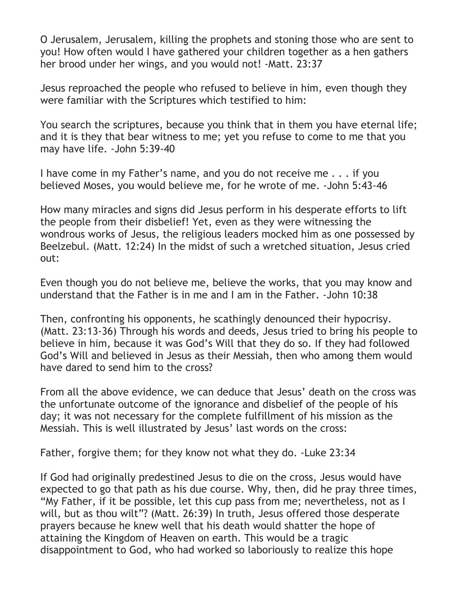O Jerusalem, Jerusalem, killing the prophets and stoning those who are sent to you! How often would I have gathered your children together as a hen gathers her brood under her wings, and you would not! -Matt. 23:37

Jesus reproached the people who refused to believe in him, even though they were familiar with the Scriptures which testified to him:

You search the scriptures, because you think that in them you have eternal life; and it is they that bear witness to me; yet you refuse to come to me that you may have life. -John 5:39-40

I have come in my Father's name, and you do not receive me . . . if you believed Moses, you would believe me, for he wrote of me. -John 5:43-46

How many miracles and signs did Jesus perform in his desperate efforts to lift the people from their disbelief! Yet, even as they were witnessing the wondrous works of Jesus, the religious leaders mocked him as one possessed by Beelzebul. (Matt. 12:24) In the midst of such a wretched situation, Jesus cried out:

Even though you do not believe me, believe the works, that you may know and understand that the Father is in me and I am in the Father. -John 10:38

Then, confronting his opponents, he scathingly denounced their hypocrisy. (Matt. 23:13-36) Through his words and deeds, Jesus tried to bring his people to believe in him, because it was God's Will that they do so. If they had followed God's Will and believed in Jesus as their Messiah, then who among them would have dared to send him to the cross?

From all the above evidence, we can deduce that Jesus' death on the cross was the unfortunate outcome of the ignorance and disbelief of the people of his day; it was not necessary for the complete fulfillment of his mission as the Messiah. This is well illustrated by Jesus' last words on the cross:

Father, forgive them; for they know not what they do. -Luke 23:34

If God had originally predestined Jesus to die on the cross, Jesus would have expected to go that path as his due course. Why, then, did he pray three times, "My Father, if it be possible, let this cup pass from me; nevertheless, not as I will, but as thou wilt"? (Matt. 26:39) In truth, Jesus offered those desperate prayers because he knew well that his death would shatter the hope of attaining the Kingdom of Heaven on earth. This would be a tragic disappointment to God, who had worked so laboriously to realize this hope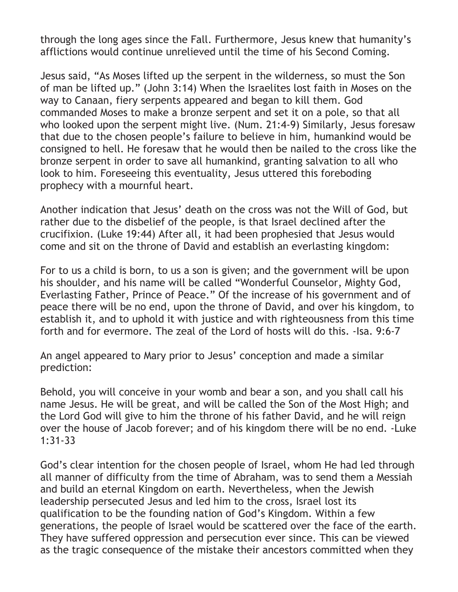through the long ages since the Fall. Furthermore, Jesus knew that humanity's afflictions would continue unrelieved until the time of his Second Coming.

Jesus said, "As Moses lifted up the serpent in the wilderness, so must the Son of man be lifted up." (John 3:14) When the Israelites lost faith in Moses on the way to Canaan, fiery serpents appeared and began to kill them. God commanded Moses to make a bronze serpent and set it on a pole, so that all who looked upon the serpent might live. (Num. 21:4-9) Similarly, Jesus foresaw that due to the chosen people's failure to believe in him, humankind would be consigned to hell. He foresaw that he would then be nailed to the cross like the bronze serpent in order to save all humankind, granting salvation to all who look to him. Foreseeing this eventuality, Jesus uttered this foreboding prophecy with a mournful heart.

Another indication that Jesus' death on the cross was not the Will of God, but rather due to the disbelief of the people, is that Israel declined after the crucifixion. (Luke 19:44) After all, it had been prophesied that Jesus would come and sit on the throne of David and establish an everlasting kingdom:

For to us a child is born, to us a son is given; and the government will be upon his shoulder, and his name will be called "Wonderful Counselor, Mighty God, Everlasting Father, Prince of Peace." Of the increase of his government and of peace there will be no end, upon the throne of David, and over his kingdom, to establish it, and to uphold it with justice and with righteousness from this time forth and for evermore. The zeal of the Lord of hosts will do this. -Isa. 9:6-7

An angel appeared to Mary prior to Jesus' conception and made a similar prediction:

Behold, you will conceive in your womb and bear a son, and you shall call his name Jesus. He will be great, and will be called the Son of the Most High; and the Lord God will give to him the throne of his father David, and he will reign over the house of Jacob forever; and of his kingdom there will be no end. -Luke 1:31-33

God's clear intention for the chosen people of Israel, whom He had led through all manner of difficulty from the time of Abraham, was to send them a Messiah and build an eternal Kingdom on earth. Nevertheless, when the Jewish leadership persecuted Jesus and led him to the cross, Israel lost its qualification to be the founding nation of God's Kingdom. Within a few generations, the people of Israel would be scattered over the face of the earth. They have suffered oppression and persecution ever since. This can be viewed as the tragic consequence of the mistake their ancestors committed when they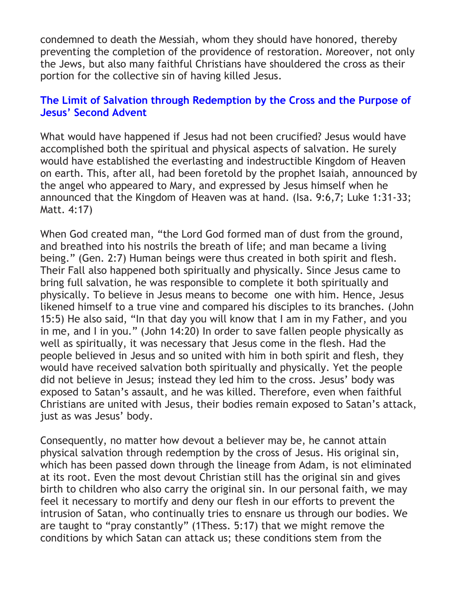condemned to death the Messiah, whom they should have honored, thereby preventing the completion of the providence of restoration. Moreover, not only the Jews, but also many faithful Christians have shouldered the cross as their portion for the collective sin of having killed Jesus.

## <span id="page-6-0"></span>**[The Limit of Salvation through Redemption by the Cross and the Purpose](#page-0-0) of [Jesus' Second Advent](#page-0-0)**

What would have happened if Jesus had not been crucified? Jesus would have accomplished both the spiritual and physical aspects of salvation. He surely would have established the everlasting and indestructible Kingdom of Heaven on earth. This, after all, had been foretold by the prophet Isaiah, announced by the angel who appeared to Mary, and expressed by Jesus himself when he announced that the Kingdom of Heaven was at hand. (Isa. 9:6,7; Luke 1:31-33; Matt. 4:17)

When God created man, "the Lord God formed man of dust from the ground, and breathed into his nostrils the breath of life; and man became a living being." (Gen. 2:7) Human beings were thus created in both spirit and flesh. Their Fall also happened both spiritually and physically. Since Jesus came to bring full salvation, he was responsible to complete it both spiritually and physically. To believe in Jesus means to become one with him. Hence, Jesus likened himself to a true vine and compared his disciples to its branches. (John 15:5) He also said, "In that day you will know that I am in my Father, and you in me, and I in you." (John 14:20) In order to save fallen people physically as well as spiritually, it was necessary that Jesus come in the flesh. Had the people believed in Jesus and so united with him in both spirit and flesh, they would have received salvation both spiritually and physically. Yet the people did not believe in Jesus; instead they led him to the cross. Jesus' body was exposed to Satan's assault, and he was killed. Therefore, even when faithful Christians are united with Jesus, their bodies remain exposed to Satan's attack, just as was Jesus' body.

Consequently, no matter how devout a believer may be, he cannot attain physical salvation through redemption by the cross of Jesus. His original sin, which has been passed down through the lineage from Adam, is not eliminated at its root. Even the most devout Christian still has the original sin and gives birth to children who also carry the original sin. In our personal faith, we may feel it necessary to mortify and deny our flesh in our efforts to prevent the intrusion of Satan, who continually tries to ensnare us through our bodies. We are taught to "pray constantly" (1Thess. 5:17) that we might remove the conditions by which Satan can attack us; these conditions stem from the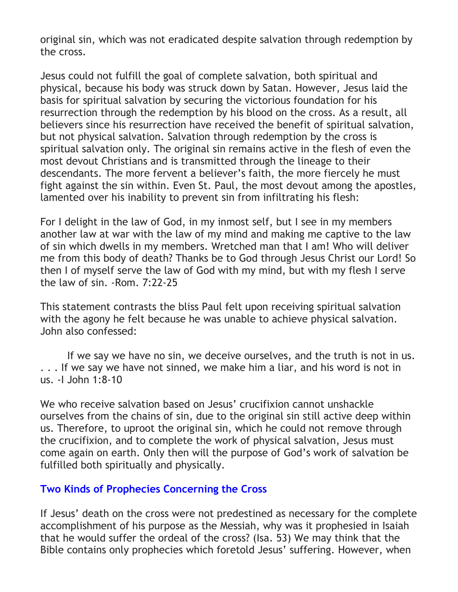original sin, which was not eradicated despite salvation through redemption by the cross.

Jesus could not fulfill the goal of complete salvation, both spiritual and physical, because his body was struck down by Satan. However, Jesus laid the basis for spiritual salvation by securing the victorious foundation for his resurrection through the redemption by his blood on the cross. As a result, all believers since his resurrection have received the benefit of spiritual salvation, but not physical salvation. Salvation through redemption by the cross is spiritual salvation only. The original sin remains active in the flesh of even the most devout Christians and is transmitted through the lineage to their descendants. The more fervent a believer's faith, the more fiercely he must fight against the sin within. Even St. Paul, the most devout among the apostles, lamented over his inability to prevent sin from infiltrating his flesh:

For I delight in the law of God, in my inmost self, but I see in my members another law at war with the law of my mind and making me captive to the law of sin which dwells in my members. Wretched man that I am! Who will deliver me from this body of death? Thanks be to God through Jesus Christ our Lord! So then I of myself serve the law of God with my mind, but with my flesh I serve the law of sin. -Rom. 7:22-25

This statement contrasts the bliss Paul felt upon receiving spiritual salvation with the agony he felt because he was unable to achieve physical salvation. John also confessed:

If we say we have no sin, we deceive ourselves, and the truth is not in us. . . . If we say we have not sinned, we make him a liar, and his word is not in us. -I John 1:8-10

We who receive salvation based on Jesus' crucifixion cannot unshackle ourselves from the chains of sin, due to the original sin still active deep within us. Therefore, to uproot the original sin, which he could not remove through the crucifixion, and to complete the work of physical salvation, Jesus must come again on earth. Only then will the purpose of God's work of salvation be fulfilled both spiritually and physically.

## <span id="page-7-0"></span>**[Two Kinds of Prophecies Concerning the Cross](#page-0-0)**

If Jesus' death on the cross were not predestined as necessary for the complete accomplishment of his purpose as the Messiah, why was it prophesied in Isaiah that he would suffer the ordeal of the cross? (Isa. 53) We may think that the Bible contains only prophecies which foretold Jesus' suffering. However, when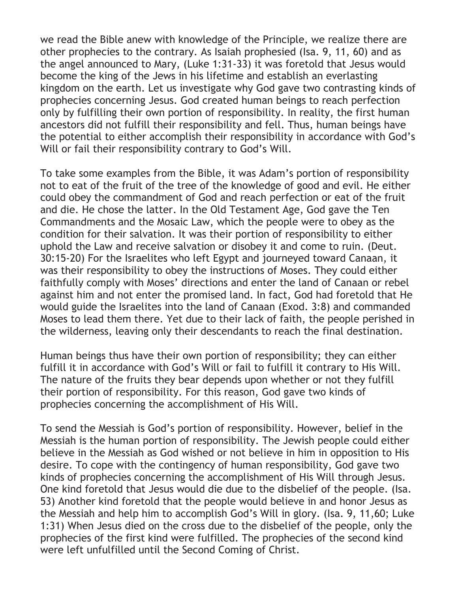we read the Bible anew with knowledge of the Principle, we realize there are other prophecies to the contrary. As Isaiah prophesied (Isa. 9, 11, 60) and as the angel announced to Mary, (Luke 1:31-33) it was foretold that Jesus would become the king of the Jews in his lifetime and establish an everlasting kingdom on the earth. Let us investigate why God gave two contrasting kinds of prophecies concerning Jesus. God created human beings to reach perfection only by fulfilling their own portion of responsibility. In reality, the first human ancestors did not fulfill their responsibility and fell. Thus, human beings have the potential to either accomplish their responsibility in accordance with God's Will or fail their responsibility contrary to God's Will.

To take some examples from the Bible, it was Adam's portion of responsibility not to eat of the fruit of the tree of the knowledge of good and evil. He either could obey the commandment of God and reach perfection or eat of the fruit and die. He chose the latter. In the Old Testament Age, God gave the Ten Commandments and the Mosaic Law, which the people were to obey as the condition for their salvation. It was their portion of responsibility to either uphold the Law and receive salvation or disobey it and come to ruin. (Deut. 30:15-20) For the Israelites who left Egypt and journeyed toward Canaan, it was their responsibility to obey the instructions of Moses. They could either faithfully comply with Moses' directions and enter the land of Canaan or rebel against him and not enter the promised land. In fact, God had foretold that He would guide the Israelites into the land of Canaan (Exod. 3:8) and commanded Moses to lead them there. Yet due to their lack of faith, the people perished in the wilderness, leaving only their descendants to reach the final destination.

Human beings thus have their own portion of responsibility; they can either fulfill it in accordance with God's Will or fail to fulfill it contrary to His Will. The nature of the fruits they bear depends upon whether or not they fulfill their portion of responsibility. For this reason, God gave two kinds of prophecies concerning the accomplishment of His Will.

To send the Messiah is God's portion of responsibility. However, belief in the Messiah is the human portion of responsibility. The Jewish people could either believe in the Messiah as God wished or not believe in him in opposition to His desire. To cope with the contingency of human responsibility, God gave two kinds of prophecies concerning the accomplishment of His Will through Jesus. One kind foretold that Jesus would die due to the disbelief of the people. (Isa. 53) Another kind foretold that the people would believe in and honor Jesus as the Messiah and help him to accomplish God's Will in glory. (Isa. 9, 11,60; Luke 1:31) When Jesus died on the cross due to the disbelief of the people, only the prophecies of the first kind were fulfilled. The prophecies of the second kind were left unfulfilled until the Second Coming of Christ.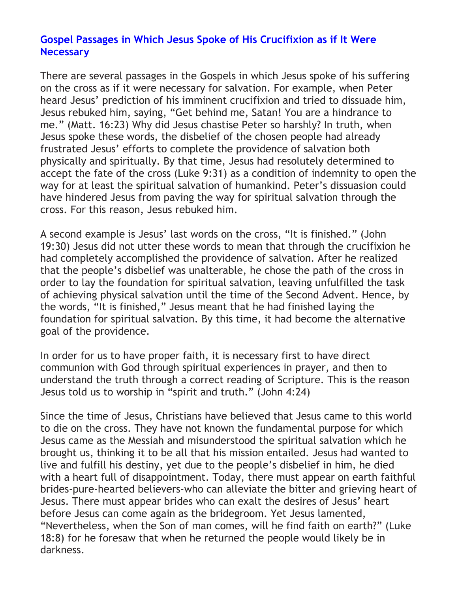## <span id="page-9-0"></span>**Gospel Passages [in Which Jesus Spoke of His Crucifixion as if It Were](#page-0-0) [Necessary](#page-0-0)**

There are several passages in the Gospels in which Jesus spoke of his suffering on the cross as if it were necessary for salvation. For example, when Peter heard Jesus' prediction of his imminent crucifixion and tried to dissuade him, Jesus rebuked him, saying, "Get behind me, Satan! You are a hindrance to me." (Matt. 16:23) Why did Jesus chastise Peter so harshly? In truth, when Jesus spoke these words, the disbelief of the chosen people had already frustrated Jesus' efforts to complete the providence of salvation both physically and spiritually. By that time, Jesus had resolutely determined to accept the fate of the cross (Luke 9:31) as a condition of indemnity to open the way for at least the spiritual salvation of humankind. Peter's dissuasion could have hindered Jesus from paving the way for spiritual salvation through the cross. For this reason, Jesus rebuked him.

A second example is Jesus' last words on the cross, "It is finished." (John 19:30) Jesus did not utter these words to mean that through the crucifixion he had completely accomplished the providence of salvation. After he realized that the people's disbelief was unalterable, he chose the path of the cross in order to lay the foundation for spiritual salvation, leaving unfulfilled the task of achieving physical salvation until the time of the Second Advent. Hence, by the words, "It is finished," Jesus meant that he had finished laying the foundation for spiritual salvation. By this time, it had become the alternative goal of the providence.

In order for us to have proper faith, it is necessary first to have direct communion with God through spiritual experiences in prayer, and then to understand the truth through a correct reading of Scripture. This is the reason Jesus told us to worship in "spirit and truth." (John 4:24)

Since the time of Jesus, Christians have believed that Jesus came to this world to die on the cross. They have not known the fundamental purpose for which Jesus came as the Messiah and misunderstood the spiritual salvation which he brought us, thinking it to be all that his mission entailed. Jesus had wanted to live and fulfill his destiny, yet due to the people's disbelief in him, he died with a heart full of disappointment. Today, there must appear on earth faithful brides-pure-hearted believers-who can alleviate the bitter and grieving heart of Jesus. There must appear brides who can exalt the desires of Jesus' heart before Jesus can come again as the bridegroom. Yet Jesus lamented, "Nevertheless, when the Son of man comes, will he find faith on earth?" (Luke 18:8) for he foresaw that when he returned the people would likely be in darkness.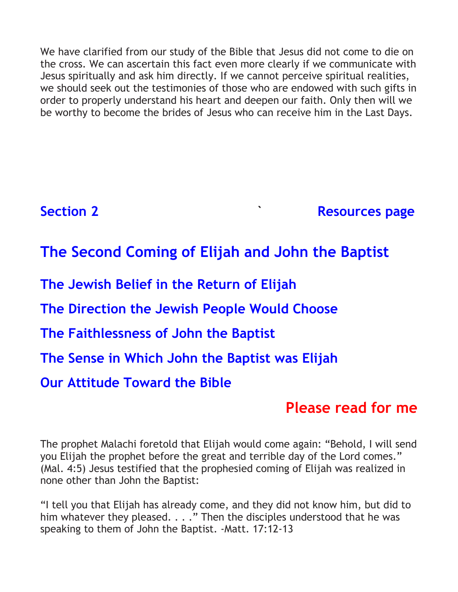We have clarified from our study of the Bible that Jesus did not come to die on the cross. We can ascertain this fact even more clearly if we communicate with Jesus spiritually and ask him directly. If we cannot perceive spiritual realities, we should seek out the testimonies of those who are endowed with such gifts in order to properly understand his heart and deepen our faith. Only then will we be worthy to become the brides of Jesus who can receive him in the Last Days.

**[Section 2](#page-0-0)** *CONSIDER <b>RESOURCES* page

# <span id="page-10-0"></span>**[The Second Coming of Elijah and John the Baptist](#page-0-0)**

**[The Jewish Belief in the Return of Elijah](#page-11-0)**

**[The Direction the Jewish People Would Choose](#page-12-0)**

**[The Faithlessness of John the Baptist](#page-14-0)**

**[The Sense in Which John the Baptist was Elijah](#page-17-0)**

**[Our Attitude Toward the Bible](#page-18-0)**

## **[Please read for me](https://www.2achristisnow.com/uploads/1/3/4/0/134087828/fr-jtb-02.mp3)**

The prophet Malachi foretold that Elijah would come again: "Behold, I will send you Elijah the prophet before the great and terrible day of the Lord comes." (Mal. 4:5) Jesus testified that the prophesied coming of Elijah was realized in none other than John the Baptist:

"I tell you that Elijah has already come, and they did not know him, but did to him whatever they pleased. . . ." Then the disciples understood that he was speaking to them of John the Baptist. -Matt. 17:12-13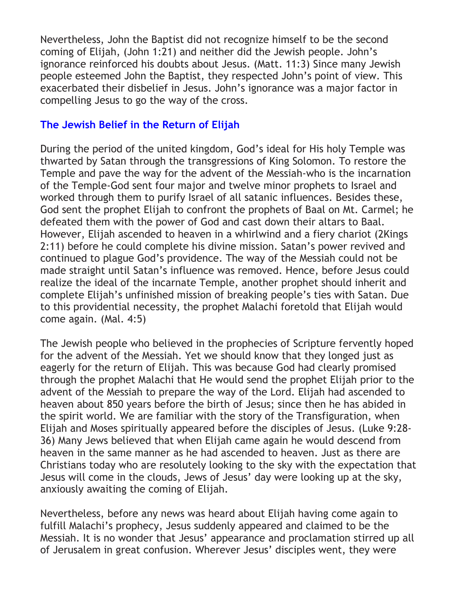Nevertheless, John the Baptist did not recognize himself to be the second coming of Elijah, (John 1:21) and neither did the Jewish people. John's ignorance reinforced his doubts about Jesus. (Matt. 11:3) Since many Jewish people esteemed John the Baptist, they respected John's point of view. This exacerbated their disbelief in Jesus. John's ignorance was a major factor in compelling Jesus to go the way of the cross.

## <span id="page-11-0"></span>**[The Jewish Belief in the Return of Elijah](#page-10-0)**

During the period of the united kingdom, God's ideal for His holy Temple was thwarted by Satan through the transgressions of King Solomon. To restore the Temple and pave the way for the advent of the Messiah-who is the incarnation of the Temple-God sent four major and twelve minor prophets to Israel and worked through them to purify Israel of all satanic influences. Besides these, God sent the prophet Elijah to confront the prophets of Baal on Mt. Carmel; he defeated them with the power of God and cast down their altars to Baal. However, Elijah ascended to heaven in a whirlwind and a fiery chariot (2Kings 2:11) before he could complete his divine mission. Satan's power revived and continued to plague God's providence. The way of the Messiah could not be made straight until Satan's influence was removed. Hence, before Jesus could realize the ideal of the incarnate Temple, another prophet should inherit and complete Elijah's unfinished mission of breaking people's ties with Satan. Due to this providential necessity, the prophet Malachi foretold that Elijah would come again. (Mal. 4:5)

The Jewish people who believed in the prophecies of Scripture fervently hoped for the advent of the Messiah. Yet we should know that they longed just as eagerly for the return of Elijah. This was because God had clearly promised through the prophet Malachi that He would send the prophet Elijah prior to the advent of the Messiah to prepare the way of the Lord. Elijah had ascended to heaven about 850 years before the birth of Jesus; since then he has abided in the spirit world. We are familiar with the story of the Transfiguration, when Elijah and Moses spiritually appeared before the disciples of Jesus. (Luke 9:28- 36) Many Jews believed that when Elijah came again he would descend from heaven in the same manner as he had ascended to heaven. Just as there are Christians today who are resolutely looking to the sky with the expectation that Jesus will come in the clouds, Jews of Jesus' day were looking up at the sky, anxiously awaiting the coming of Elijah.

Nevertheless, before any news was heard about Elijah having come again to fulfill Malachi's prophecy, Jesus suddenly appeared and claimed to be the Messiah. It is no wonder that Jesus' appearance and proclamation stirred up all of Jerusalem in great confusion. Wherever Jesus' disciples went, they were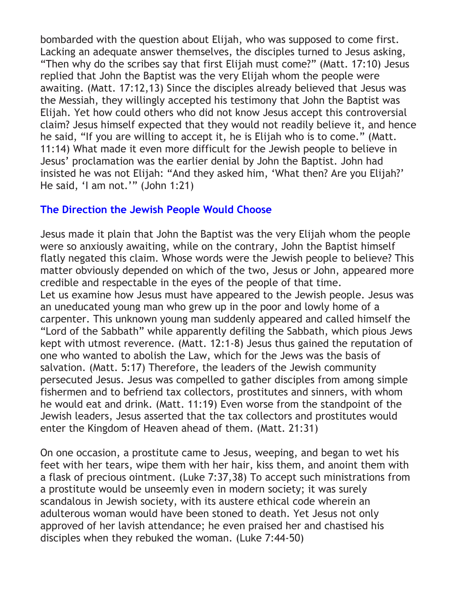bombarded with the question about Elijah, who was supposed to come first. Lacking an adequate answer themselves, the disciples turned to Jesus asking, "Then why do the scribes say that first Elijah must come?" (Matt. 17:10) Jesus replied that John the Baptist was the very Elijah whom the people were awaiting. (Matt. 17:12,13) Since the disciples already believed that Jesus was the Messiah, they willingly accepted his testimony that John the Baptist was Elijah. Yet how could others who did not know Jesus accept this controversial claim? Jesus himself expected that they would not readily believe it, and hence he said, "If you are willing to accept it, he is Elijah who is to come." (Matt. 11:14) What made it even more difficult for the Jewish people to believe in Jesus' proclamation was the earlier denial by John the Baptist. John had insisted he was not Elijah: "And they asked him, 'What then? Are you Elijah?' He said, 'I am not.'" (John 1:21)

## <span id="page-12-0"></span>**[The Direction the Jewish People Would Choose](#page-10-0)**

Jesus made it plain that John the Baptist was the very Elijah whom the people were so anxiously awaiting, while on the contrary, John the Baptist himself flatly negated this claim. Whose words were the Jewish people to believe? This matter obviously depended on which of the two, Jesus or John, appeared more credible and respectable in the eyes of the people of that time. Let us examine how Jesus must have appeared to the Jewish people. Jesus was an uneducated young man who grew up in the poor and lowly home of a carpenter. This unknown young man suddenly appeared and called himself the "Lord of the Sabbath" while apparently defiling the Sabbath, which pious Jews kept with utmost reverence. (Matt. 12:1-8) Jesus thus gained the reputation of one who wanted to abolish the Law, which for the Jews was the basis of salvation. (Matt. 5:17) Therefore, the leaders of the Jewish community persecuted Jesus. Jesus was compelled to gather disciples from among simple fishermen and to befriend tax collectors, prostitutes and sinners, with whom he would eat and drink. (Matt. 11:19) Even worse from the standpoint of the Jewish leaders, Jesus asserted that the tax collectors and prostitutes would enter the Kingdom of Heaven ahead of them. (Matt. 21:31)

On one occasion, a prostitute came to Jesus, weeping, and began to wet his feet with her tears, wipe them with her hair, kiss them, and anoint them with a flask of precious ointment. (Luke 7:37,38) To accept such ministrations from a prostitute would be unseemly even in modern society; it was surely scandalous in Jewish society, with its austere ethical code wherein an adulterous woman would have been stoned to death. Yet Jesus not only approved of her lavish attendance; he even praised her and chastised his disciples when they rebuked the woman. (Luke 7:44-50)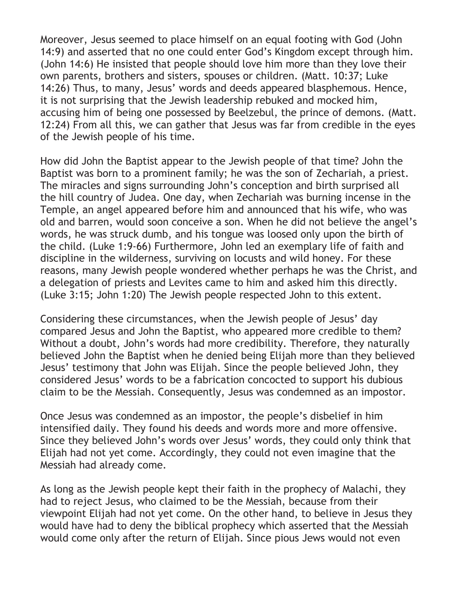Moreover, Jesus seemed to place himself on an equal footing with God (John 14:9) and asserted that no one could enter God's Kingdom except through him. (John 14:6) He insisted that people should love him more than they love their own parents, brothers and sisters, spouses or children. (Matt. 10:37; Luke 14:26) Thus, to many, Jesus' words and deeds appeared blasphemous. Hence, it is not surprising that the Jewish leadership rebuked and mocked him, accusing him of being one possessed by Beelzebul, the prince of demons. (Matt. 12:24) From all this, we can gather that Jesus was far from credible in the eyes of the Jewish people of his time.

How did John the Baptist appear to the Jewish people of that time? John the Baptist was born to a prominent family; he was the son of Zechariah, a priest. The miracles and signs surrounding John's conception and birth surprised all the hill country of Judea. One day, when Zechariah was burning incense in the Temple, an angel appeared before him and announced that his wife, who was old and barren, would soon conceive a son. When he did not believe the angel's words, he was struck dumb, and his tongue was loosed only upon the birth of the child. (Luke 1:9-66) Furthermore, John led an exemplary life of faith and discipline in the wilderness, surviving on locusts and wild honey. For these reasons, many Jewish people wondered whether perhaps he was the Christ, and a delegation of priests and Levites came to him and asked him this directly. (Luke 3:15; John 1:20) The Jewish people respected John to this extent.

Considering these circumstances, when the Jewish people of Jesus' day compared Jesus and John the Baptist, who appeared more credible to them? Without a doubt, John's words had more credibility. Therefore, they naturally believed John the Baptist when he denied being Elijah more than they believed Jesus' testimony that John was Elijah. Since the people believed John, they considered Jesus' words to be a fabrication concocted to support his dubious claim to be the Messiah. Consequently, Jesus was condemned as an impostor.

Once Jesus was condemned as an impostor, the people's disbelief in him intensified daily. They found his deeds and words more and more offensive. Since they believed John's words over Jesus' words, they could only think that Elijah had not yet come. Accordingly, they could not even imagine that the Messiah had already come.

As long as the Jewish people kept their faith in the prophecy of Malachi, they had to reject Jesus, who claimed to be the Messiah, because from their viewpoint Elijah had not yet come. On the other hand, to believe in Jesus they would have had to deny the biblical prophecy which asserted that the Messiah would come only after the return of Elijah. Since pious Jews would not even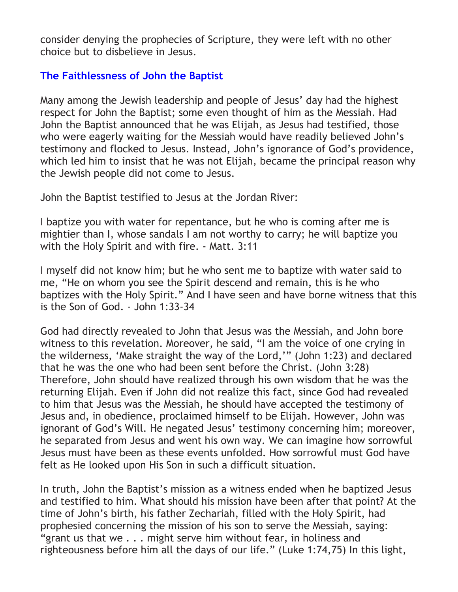consider denying the prophecies of Scripture, they were left with no other choice but to disbelieve in Jesus.

## <span id="page-14-0"></span>**[The Faithlessness of John the Baptist](#page-10-0)**

Many among the Jewish leadership and people of Jesus' day had the highest respect for John the Baptist; some even thought of him as the Messiah. Had John the Baptist announced that he was Elijah, as Jesus had testified, those who were eagerly waiting for the Messiah would have readily believed John's testimony and flocked to Jesus. Instead, John's ignorance of God's providence, which led him to insist that he was not Elijah, became the principal reason why the Jewish people did not come to Jesus.

John the Baptist testified to Jesus at the Jordan River:

I baptize you with water for repentance, but he who is coming after me is mightier than I, whose sandals I am not worthy to carry; he will baptize you with the Holy Spirit and with fire. - Matt. 3:11

I myself did not know him; but he who sent me to baptize with water said to me, "He on whom you see the Spirit descend and remain, this is he who baptizes with the Holy Spirit." And I have seen and have borne witness that this is the Son of God. - John 1:33-34

God had directly revealed to John that Jesus was the Messiah, and John bore witness to this revelation. Moreover, he said, "I am the voice of one crying in the wilderness, 'Make straight the way of the Lord,'" (John 1:23) and declared that he was the one who had been sent before the Christ. (John 3:28) Therefore, John should have realized through his own wisdom that he was the returning Elijah. Even if John did not realize this fact, since God had revealed to him that Jesus was the Messiah, he should have accepted the testimony of Jesus and, in obedience, proclaimed himself to be Elijah. However, John was ignorant of God's Will. He negated Jesus' testimony concerning him; moreover, he separated from Jesus and went his own way. We can imagine how sorrowful Jesus must have been as these events unfolded. How sorrowful must God have felt as He looked upon His Son in such a difficult situation.

In truth, John the Baptist's mission as a witness ended when he baptized Jesus and testified to him. What should his mission have been after that point? At the time of John's birth, his father Zechariah, filled with the Holy Spirit, had prophesied concerning the mission of his son to serve the Messiah, saying: "grant us that we . . . might serve him without fear, in holiness and righteousness before him all the days of our life." (Luke 1:74,75) In this light,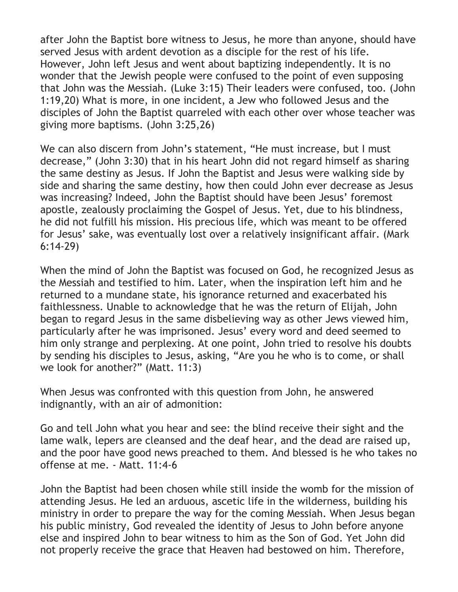after John the Baptist bore witness to Jesus, he more than anyone, should have served Jesus with ardent devotion as a disciple for the rest of his life. However, John left Jesus and went about baptizing independently. It is no wonder that the Jewish people were confused to the point of even supposing that John was the Messiah. (Luke 3:15) Their leaders were confused, too. (John 1:19,20) What is more, in one incident, a Jew who followed Jesus and the disciples of John the Baptist quarreled with each other over whose teacher was giving more baptisms. (John 3:25,26)

We can also discern from John's statement, "He must increase, but I must decrease," (John 3:30) that in his heart John did not regard himself as sharing the same destiny as Jesus. If John the Baptist and Jesus were walking side by side and sharing the same destiny, how then could John ever decrease as Jesus was increasing? Indeed, John the Baptist should have been Jesus' foremost apostle, zealously proclaiming the Gospel of Jesus. Yet, due to his blindness, he did not fulfill his mission. His precious life, which was meant to be offered for Jesus' sake, was eventually lost over a relatively insignificant affair. (Mark 6:14-29)

When the mind of John the Baptist was focused on God, he recognized Jesus as the Messiah and testified to him. Later, when the inspiration left him and he returned to a mundane state, his ignorance returned and exacerbated his faithlessness. Unable to acknowledge that he was the return of Elijah, John began to regard Jesus in the same disbelieving way as other Jews viewed him, particularly after he was imprisoned. Jesus' every word and deed seemed to him only strange and perplexing. At one point, John tried to resolve his doubts by sending his disciples to Jesus, asking, "Are you he who is to come, or shall we look for another?" (Matt. 11:3)

When Jesus was confronted with this question from John, he answered indignantly, with an air of admonition:

Go and tell John what you hear and see: the blind receive their sight and the lame walk, lepers are cleansed and the deaf hear, and the dead are raised up, and the poor have good news preached to them. And blessed is he who takes no offense at me. - Matt. 11:4-6

John the Baptist had been chosen while still inside the womb for the mission of attending Jesus. He led an arduous, ascetic life in the wilderness, building his ministry in order to prepare the way for the coming Messiah. When Jesus began his public ministry, God revealed the identity of Jesus to John before anyone else and inspired John to bear witness to him as the Son of God. Yet John did not properly receive the grace that Heaven had bestowed on him. Therefore,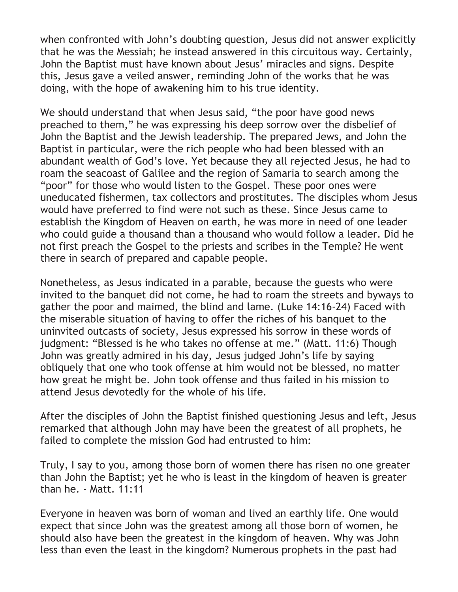when confronted with John's doubting question, Jesus did not answer explicitly that he was the Messiah; he instead answered in this circuitous way. Certainly, John the Baptist must have known about Jesus' miracles and signs. Despite this, Jesus gave a veiled answer, reminding John of the works that he was doing, with the hope of awakening him to his true identity.

We should understand that when Jesus said, "the poor have good news preached to them," he was expressing his deep sorrow over the disbelief of John the Baptist and the Jewish leadership. The prepared Jews, and John the Baptist in particular, were the rich people who had been blessed with an abundant wealth of God's love. Yet because they all rejected Jesus, he had to roam the seacoast of Galilee and the region of Samaria to search among the "poor" for those who would listen to the Gospel. These poor ones were uneducated fishermen, tax collectors and prostitutes. The disciples whom Jesus would have preferred to find were not such as these. Since Jesus came to establish the Kingdom of Heaven on earth, he was more in need of one leader who could guide a thousand than a thousand who would follow a leader. Did he not first preach the Gospel to the priests and scribes in the Temple? He went there in search of prepared and capable people.

Nonetheless, as Jesus indicated in a parable, because the guests who were invited to the banquet did not come, he had to roam the streets and byways to gather the poor and maimed, the blind and lame. (Luke 14:16-24) Faced with the miserable situation of having to offer the riches of his banquet to the uninvited outcasts of society, Jesus expressed his sorrow in these words of judgment: "Blessed is he who takes no offense at me." (Matt. 11:6) Though John was greatly admired in his day, Jesus judged John's life by saying obliquely that one who took offense at him would not be blessed, no matter how great he might be. John took offense and thus failed in his mission to attend Jesus devotedly for the whole of his life.

After the disciples of John the Baptist finished questioning Jesus and left, Jesus remarked that although John may have been the greatest of all prophets, he failed to complete the mission God had entrusted to him:

Truly, I say to you, among those born of women there has risen no one greater than John the Baptist; yet he who is least in the kingdom of heaven is greater than he. - Matt. 11:11

Everyone in heaven was born of woman and lived an earthly life. One would expect that since John was the greatest among all those born of women, he should also have been the greatest in the kingdom of heaven. Why was John less than even the least in the kingdom? Numerous prophets in the past had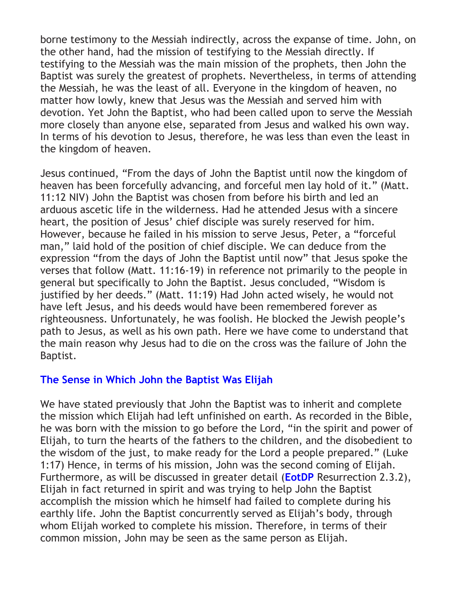borne testimony to the Messiah indirectly, across the expanse of time. John, on the other hand, had the mission of testifying to the Messiah directly. If testifying to the Messiah was the main mission of the prophets, then John the Baptist was surely the greatest of prophets. Nevertheless, in terms of attending the Messiah, he was the least of all. Everyone in the kingdom of heaven, no matter how lowly, knew that Jesus was the Messiah and served him with devotion. Yet John the Baptist, who had been called upon to serve the Messiah more closely than anyone else, separated from Jesus and walked his own way. In terms of his devotion to Jesus, therefore, he was less than even the least in the kingdom of heaven.

Jesus continued, "From the days of John the Baptist until now the kingdom of heaven has been forcefully advancing, and forceful men lay hold of it." (Matt. 11:12 NIV) John the Baptist was chosen from before his birth and led an arduous ascetic life in the wilderness. Had he attended Jesus with a sincere heart, the position of Jesus' chief disciple was surely reserved for him. However, because he failed in his mission to serve Jesus, Peter, a "forceful man," laid hold of the position of chief disciple. We can deduce from the expression "from the days of John the Baptist until now" that Jesus spoke the verses that follow (Matt. 11:16-19) in reference not primarily to the people in general but specifically to John the Baptist. Jesus concluded, "Wisdom is justified by her deeds." (Matt. 11:19) Had John acted wisely, he would not have left Jesus, and his deeds would have been remembered forever as righteousness. Unfortunately, he was foolish. He blocked the Jewish people's path to Jesus, as well as his own path. Here we have come to understand that the main reason why Jesus had to die on the cross was the failure of John the Baptist.

## <span id="page-17-0"></span>**[The Sense in Which John the Baptist Was Elijah](#page-10-0)**

<span id="page-17-1"></span>We have stated previously that John the Baptist was to inherit and complete the mission which Elijah had left unfinished on earth. As recorded in the Bible, he was born with the mission to go before the Lord, "in the spirit and power of Elijah, to turn the hearts of the fathers to the children, and the disobedient to the wisdom of the just, to make ready for the Lord a people prepared." (Luke 1:17) Hence, in terms of his mission, John was the second coming of Elijah. Furthermore, as will be discussed in greater detail (**[EotDP](#page-18-1)** Resurrection 2.3.2), Elijah in fact returned in spirit and was trying to help John the Baptist accomplish the mission which he himself had failed to complete during his earthly life. John the Baptist concurrently served as Elijah's body, through whom Elijah worked to complete his mission. Therefore, in terms of their common mission, John may be seen as the same person as Elijah.